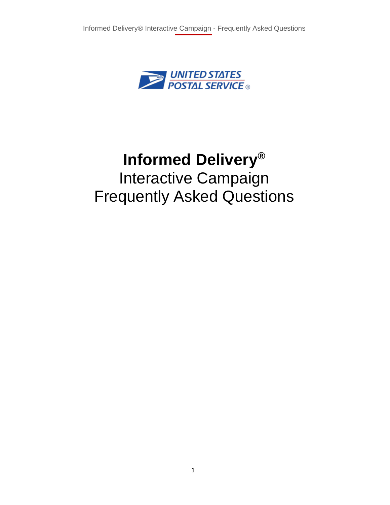

# **Informed Delivery®** Interactive Campaign Frequently Asked Questions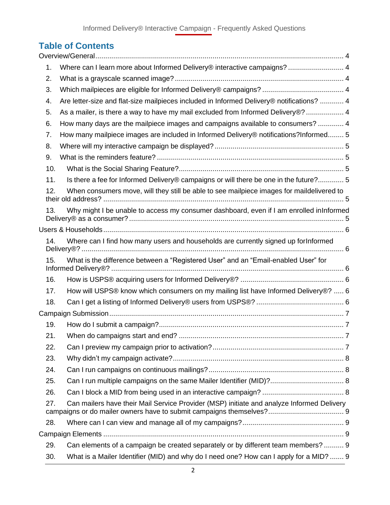# **Table of Contents**

| 1.  | Where can I learn more about Informed Delivery® interactive campaigns?  4                 |
|-----|-------------------------------------------------------------------------------------------|
| 2.  |                                                                                           |
| 3.  |                                                                                           |
| 4.  | Are letter-size and flat-size mailpieces included in Informed Delivery® notifications?  4 |
| 5.  | As a mailer, is there a way to have my mail excluded from Informed Delivery®?  4          |
| 6.  | How many days are the mailpiece images and campaigns available to consumers?  4           |
| 7.  | How many mailpiece images are included in Informed Delivery® notifications?Informed 5     |
| 8.  |                                                                                           |
| 9.  |                                                                                           |
| 10. |                                                                                           |
| 11. | Is there a fee for Informed Delivery® campaigns or will there be one in the future? 5     |
| 12. | When consumers move, will they still be able to see mailpiece images for maildelivered to |
| 13. | Why might I be unable to access my consumer dashboard, even if I am enrolled inInformed   |
|     |                                                                                           |
| 14. | Where can I find how many users and households are currently signed up forInformed        |
| 15. | What is the difference between a "Registered User" and an "Email-enabled User" for        |
| 16. |                                                                                           |
| 17. | How will USPS® know which consumers on my mailing list have Informed Delivery®?  6        |
| 18. |                                                                                           |
|     |                                                                                           |
| 19. |                                                                                           |
| 21. |                                                                                           |
| 22. |                                                                                           |
| 23. |                                                                                           |
| 24. |                                                                                           |
| 25. |                                                                                           |
| 26. |                                                                                           |
| 27. | Can mailers have their Mail Service Provider (MSP) initiate and analyze Informed Delivery |
| 28. |                                                                                           |
|     |                                                                                           |
| 29. | Can elements of a campaign be created separately or by different team members?  9         |
| 30. | What is a Mailer Identifier (MID) and why do I need one? How can I apply for a MID?  9    |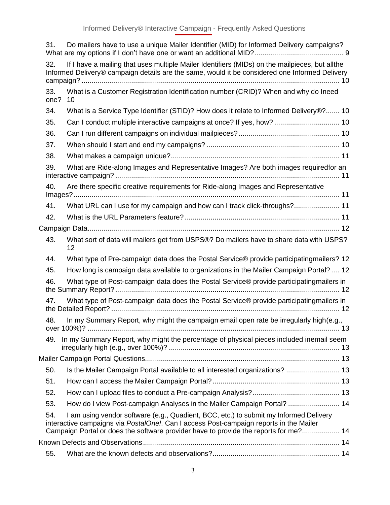| 31.         | Do mailers have to use a unique Mailer Identifier (MID) for Informed Delivery campaigns?                                                                                                                                                                                |  |
|-------------|-------------------------------------------------------------------------------------------------------------------------------------------------------------------------------------------------------------------------------------------------------------------------|--|
| 32.         | If I have a mailing that uses multiple Mailer Identifiers (MIDs) on the mailpieces, but allthe<br>Informed Delivery® campaign details are the same, would it be considered one Informed Delivery                                                                        |  |
| 33.<br>one? | What is a Customer Registration Identification number (CRID)? When and why do Ineed<br>10                                                                                                                                                                               |  |
| 34.         | What is a Service Type Identifier (STID)? How does it relate to Informed Delivery®? 10                                                                                                                                                                                  |  |
| 35.         | Can I conduct multiple interactive campaigns at once? If yes, how?  10                                                                                                                                                                                                  |  |
| 36.         |                                                                                                                                                                                                                                                                         |  |
| 37.         |                                                                                                                                                                                                                                                                         |  |
| 38.         |                                                                                                                                                                                                                                                                         |  |
| 39.         | What are Ride-along Images and Representative Images? Are both images requiredfor an                                                                                                                                                                                    |  |
| 40.         | Are there specific creative requirements for Ride-along Images and Representative                                                                                                                                                                                       |  |
| 41.         | What URL can I use for my campaign and how can I track click-throughs? 11                                                                                                                                                                                               |  |
| 42.         |                                                                                                                                                                                                                                                                         |  |
|             |                                                                                                                                                                                                                                                                         |  |
| 43.         | What sort of data will mailers get from USPS®? Do mailers have to share data with USPS?<br>12                                                                                                                                                                           |  |
| 44.         | What type of Pre-campaign data does the Postal Service® provide participating mailers? 12                                                                                                                                                                               |  |
| 45.         | How long is campaign data available to organizations in the Mailer Campaign Portal?  12                                                                                                                                                                                 |  |
| 46.         | What type of Post-campaign data does the Postal Service® provide participatingmailers in                                                                                                                                                                                |  |
| 47.         | What type of Post-campaign data does the Postal Service® provide participatingmailers in                                                                                                                                                                                |  |
| 48.         | In my Summary Report, why might the campaign email open rate be irregularly high(e.g.,                                                                                                                                                                                  |  |
| 49.         | In my Summary Report, why might the percentage of physical pieces included inemail seem                                                                                                                                                                                 |  |
|             |                                                                                                                                                                                                                                                                         |  |
| 50.         | Is the Mailer Campaign Portal available to all interested organizations?  13                                                                                                                                                                                            |  |
| 51.         |                                                                                                                                                                                                                                                                         |  |
| 52.         |                                                                                                                                                                                                                                                                         |  |
| 53.         | How do I view Post-campaign Analyses in the Mailer Campaign Portal?  14                                                                                                                                                                                                 |  |
| 54.         | I am using vendor software (e.g., Quadient, BCC, etc.) to submit my Informed Delivery<br>interactive campaigns via PostalOne!. Can I access Post-campaign reports in the Mailer<br>Campaign Portal or does the software provider have to provide the reports for me? 14 |  |
|             |                                                                                                                                                                                                                                                                         |  |
| 55.         |                                                                                                                                                                                                                                                                         |  |
|             |                                                                                                                                                                                                                                                                         |  |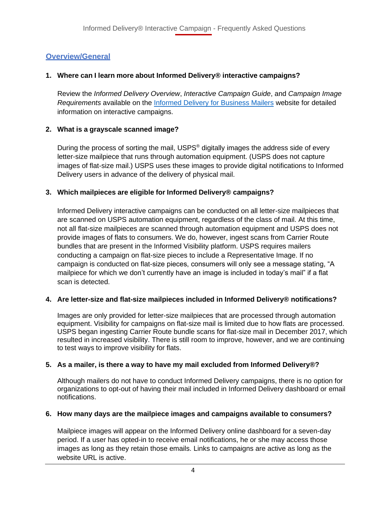# <span id="page-3-0"></span>**Overview/General**

# <span id="page-3-1"></span>**1. Where can I learn more about Informed Delivery® interactive campaigns?**

Review the *Informed Delivery Overview*, *Interactive Campaign Guide*, and *Campaign Image Requirements* available on the [Informed Delivery for Business Mailers](http://www.usps.com/informeddeliverycampaigns) website for detailed information on interactive campaigns.

# <span id="page-3-2"></span>**2. What is a grayscale scanned image?**

During the process of sorting the mail, USPS<sup>®</sup> digitally images the address side of every letter-size mailpiece that runs through automation equipment. (USPS does not capture images of flat-size mail.) USPS uses these images to provide digital notifications to Informed Delivery users in advance of the delivery of physical mail.

# <span id="page-3-3"></span>**3. Which mailpieces are eligible for Informed Delivery® campaigns?**

Informed Delivery interactive campaigns can be conducted on all letter-size mailpieces that are scanned on USPS automation equipment, regardless of the class of mail. At this time, not all flat-size mailpieces are scanned through automation equipment and USPS does not provide images of flats to consumers. We do, however, ingest scans from Carrier Route bundles that are present in the Informed Visibility platform. USPS requires mailers conducting a campaign on flat-size pieces to include a Representative Image. If no campaign is conducted on flat-size pieces, consumers will only see a message stating, "A mailpiece for which we don't currently have an image is included in today's mail" if a flat scan is detected.

#### <span id="page-3-4"></span>**4. Are letter-size and flat-size mailpieces included in Informed Delivery® notifications?**

Images are only provided for letter-size mailpieces that are processed through automation equipment. Visibility for campaigns on flat-size mail is limited due to how flats are processed. USPS began ingesting Carrier Route bundle scans for flat-size mail in December 2017, which resulted in increased visibility. There is still room to improve, however, and we are continuing to test ways to improve visibility for flats.

#### <span id="page-3-5"></span>**5. As a mailer, is there a way to have my mail excluded from Informed Delivery®?**

Although mailers do not have to conduct Informed Delivery campaigns, there is no option for organizations to opt-out of having their mail included in Informed Delivery dashboard or email notifications.

#### <span id="page-3-6"></span>**6. How many days are the mailpiece images and campaigns available to consumers?**

Mailpiece images will appear on the Informed Delivery online dashboard for a seven-day period. If a user has opted-in to receive email notifications, he or she may access those images as long as they retain those emails. Links to campaigns are active as long as the website URL is active.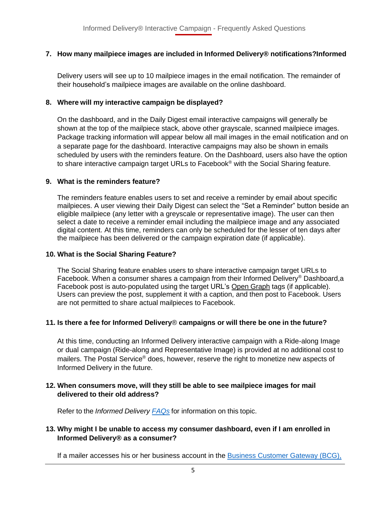# <span id="page-4-0"></span>**7. How many mailpiece images are included in Informed Delivery® notifications?Informed**

Delivery users will see up to 10 mailpiece images in the email notification. The remainder of their household's mailpiece images are available on the online dashboard.

# <span id="page-4-1"></span>**8. Where will my interactive campaign be displayed?**

On the dashboard, and in the Daily Digest email interactive campaigns will generally be shown at the top of the mailpiece stack, above other grayscale, scanned mailpiece images. Package tracking information will appear below all mail images in the email notification and on a separate page for the dashboard. Interactive campaigns may also be shown in emails scheduled by users with the reminders feature. On the Dashboard, users also have the option to share interactive campaign target URLs to Facebook<sup>®</sup> with the Social Sharing feature.

#### <span id="page-4-2"></span>**9. What is the reminders feature?**

The reminders feature enables users to set and receive a reminder by email about specific mailpieces. A user viewing their Daily Digest can select the "Set a Reminder" button beside an eligible mailpiece (any letter with a greyscale or representative image). The user can then select a date to receive a reminder email including the mailpiece image and any associated digital content. At this time, reminders can only be scheduled for the lesser of ten days after the mailpiece has been delivered or the campaign expiration date (if applicable).

# <span id="page-4-3"></span>**10. What is the Social Sharing Feature?**

The Social Sharing feature enables users to share interactive campaign target URLs to Facebook. When a consumer shares a campaign from their Informed Delivery® Dashboard,a Facebook post is auto-populated using the target URL's Open [Graph](https://developers.facebook.com/docs/sharing/webmasters/#markup) tags (if applicable). Users can preview the post, supplement it with a caption, and then post to Facebook. Users are not permitted to share actual mailpieces to Facebook.

# <span id="page-4-4"></span>**11. Is there a fee for Informed Delivery**® **campaigns or will there be one in the future?**

At this time, conducting an Informed Delivery interactive campaign with a Ride-along Image or dual campaign (Ride-along and Representative Image) is provided at no additional cost to mailers. The Postal Service® does, however, reserve the right to monetize new aspects of Informed Delivery in the future.

#### <span id="page-4-5"></span>**12. When consumers move, will they still be able to see mailpiece images for mail delivered to their old address?**

Refer to the *Informed Delivery [FAQs](https://www.usps.com/faqs/informeddelivery-faqs.htm)* for information on this topic.

# <span id="page-4-6"></span>**13. Why might I be unable to access my consumer dashboard, even if I am enrolled in Informed Delivery® as a consumer?**

If a mailer accesses his or her business account in the [Business Customer Gateway \(BCG\),](https://gateway.usps.com/eAdmin/view/signin)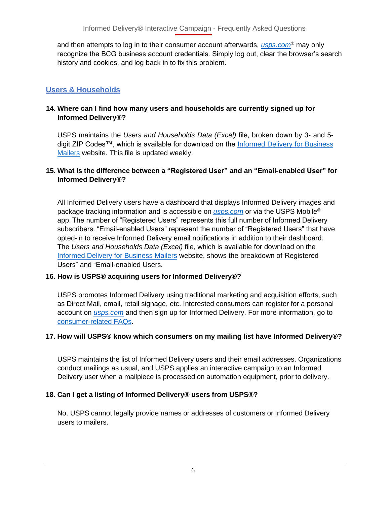and then attempts to log in to their consumer account afterwards, *[usps.com](https://www.usps.com/)*® may only recognize the BCG business account credentials. Simply log out, clear the browser's search history and cookies, and log back in to fix this problem.

# <span id="page-5-0"></span>**Users & Households**

#### <span id="page-5-1"></span>**14. Where can I find how many users and households are currently signed up for Informed Delivery®?**

USPS maintains the *Users and Households Data (Excel)* file, broken down by 3- and 5- digit ZIP Codes™, which is available for download on the [Informed Delivery for Business](http://www.usps.com/informeddeliverycampaigns) [Mailers](http://www.usps.com/informeddeliverycampaigns) website. This file is updated weekly.

#### <span id="page-5-2"></span>**15. What is the difference between a "Registered User" and an "Email-enabled User" for Informed Delivery®?**

All Informed Delivery users have a dashboard that displays Informed Delivery images and package tracking information and is accessible on *[usps.com](https://www.usps.com/)* or via the USPS Mobile® app. The number of "Registered Users" represents this full number of Informed Delivery subscribers. "Email-enabled Users" represent the number of "Registered Users" that have opted-in to receive Informed Delivery email notifications in addition to their dashboard. The *Users and Households Data (Excel)* file, which is available for download on the [Informed Delivery for Business Mailers](http://www.usps.com/informeddeliverycampaigns) website, shows the breakdown of"Registered Users" and "Email-enabled Users.

#### <span id="page-5-3"></span>**16. How is USPS® acquiring users for Informed Delivery®?**

USPS promotes Informed Delivery using traditional marketing and acquisition efforts, such as Direct Mail, email, retail signage, etc. Interested consumers can register for a personal account on *[usps.com](https://www.usps.com/)* and then sign up for Informed Delivery. For more information, go to [consumer-related](https://www.usps.com/faqs/informeddelivery-faqs.htm) FAQs.

#### <span id="page-5-4"></span>**17. How will USPS® know which consumers on my mailing list have Informed Delivery®?**

USPS maintains the list of Informed Delivery users and their email addresses. Organizations conduct mailings as usual, and USPS applies an interactive campaign to an Informed Delivery user when a mailpiece is processed on automation equipment, prior to delivery.

#### <span id="page-5-5"></span>**18. Can I get a listing of Informed Delivery® users from USPS®?**

No. USPS cannot legally provide names or addresses of customers or Informed Delivery users to mailers.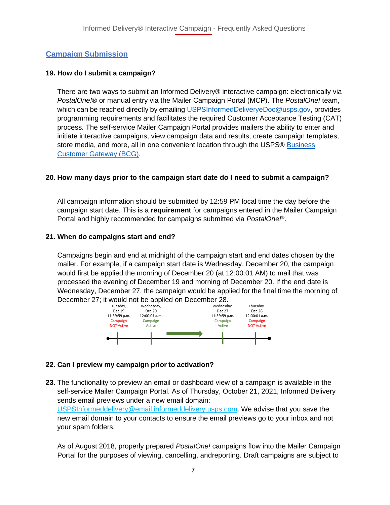# <span id="page-6-0"></span>**Campaign Submission**

# <span id="page-6-1"></span>**19. How do I submit a campaign?**

There are two ways to submit an Informed Delivery® interactive campaign: electronically via *PostalOne!*® or manual entry via the Mailer Campaign Portal (MCP). The *PostalOne!* team, which can be reached directly by emailing [USPSInformedDeliveryeDoc@usps.gov,](mailto:USPSInformedDeliveryeDoc@usps.gov) provides programming requirements and facilitates the required Customer Acceptance Testing (CAT) process. The self-service Mailer Campaign Portal provides mailers the ability to enter and initiate interactive campaigns, view campaign data and results, create campaign templates, store media, and more, all in one convenient location through the USPS® [Business](https://gateway.usps.com/eAdmin/view/signin) [Customer](https://gateway.usps.com/eAdmin/view/signin) Gateway (BCG).

# **20. How many days prior to the campaign start date do I need to submit a campaign?**

All campaign information should be submitted by 12:59 PM local time the day before the campaign start date. This is a **requirement** for campaigns entered in the Mailer Campaign Portal and highly recommended for campaigns submitted via *PostalOne!*® .

#### <span id="page-6-2"></span>**21. When do campaigns start and end?**

Campaigns begin and end at midnight of the campaign start and end dates chosen by the mailer. For example, if a campaign start date is Wednesday, December 20, the campaign would first be applied the morning of December 20 (at 12:00:01 AM) to mail that was processed the evening of December 19 and morning of December 20. If the end date is Wednesday, December 27, the campaign would be applied for the final time the morning of



# <span id="page-6-3"></span>**22. Can I preview my campaign prior to activation?**

**23.** The functionality to preview an email or dashboard view of a campaign is available in the self-service Mailer Campaign Portal. As of Thursday, October 21, 2021, Informed Delivery sends email previews under a new email domain:

[USPSInformeddelivery@email.informeddelivery.usps.com.](mailto:USPSInformeddelivery@email.informeddelivery.usps.com) We advise that you save the new email domain to your contacts to ensure the email previews go to your inbox and not your spam folders.

As of August 2018, properly prepared *PostalOne!* campaigns flow into the Mailer Campaign Portal for the purposes of viewing, cancelling, andreporting. Draft campaigns are subject to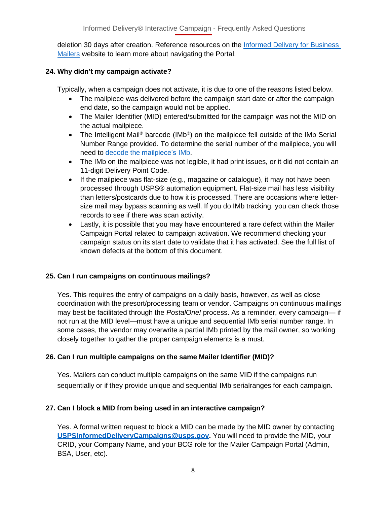deletion 30 days after creation. Reference resources on the [Informed Delivery for Business](http://www.usps.com/informeddeliverycampaigns)  [Mailers](http://www.usps.com/informeddeliverycampaigns) website to learn more about navigating the Portal.

# <span id="page-7-0"></span>**24. Why didn't my campaign activate?**

Typically, when a campaign does not activate, it is due to one of the reasons listed below.

- The mailpiece was delivered before the campaign start date or after the campaign end date, so the campaign would not be applied.
- The Mailer Identifier (MID) entered/submitted for the campaign was not the MID on the actual mailpiece.
- The Intelligent Mail® barcode (IMb®) on the mailpiece fell outside of the IMb Serial Number Range provided. To determine the serial number of the mailpiece, you will need to decode the [mailpiece's](https://secure-web.cisco.com/1KZ3i7NgsTqieXjaQZqHV4NRfcZTFrz48_mtsnmtGqrHsAowY2RI2vGGBOHe7YbQJWWj99vxWA0cdghS8JrSBm75ggAU37gB71xITbf96MX64A-rMAJO8EZPxscggKUIdkZsEUNkec7Ro8yezk4nCgsIm6AoVb7ZS0sYsAqMsvBBdj1dXpw-JCqH_Ejnfonkzg4LaIKluwaRXEkGEyzQu5ndF7TtzWOKjvIvZDkqgXQMw7dPsVvkROoqFJgT070h9JJM26teUKRq_cwJOu1HCaExgl8LVJPHiapEPrhH6GC5NtJdYRjDJd-8fkjEkCBhOMS7LuJWXedwd62uVfU20v5sU7_3VKqCmRQ9t2_eA4MIF5rMBohkSpZ8bQS5AxPiu08jTLv5n5JnXF7O1UZFyGi-nO1261RX16SVQghKcA6a9fhO7tiHLo_ZE6O3UCo9h3P4NlY1JFhSSsCTHJzWAeFJ81U7zhkzx4vaooBDy2ZJA2QkhnvN55Bz5HTg09BwwEK3uWB_dYTDIUWOvrmJJ9Q/https%3A%2F%2Fpostalpro.usps.com%2Ftools%2Fencoder) IMb.
- The IMb on the mailpiece was not legible, it had print issues, or it did not contain an 11-digit Delivery Point Code.
- If the mailpiece was flat-size (e.g., magazine or catalogue), it may not have been processed through USPS® automation equipment. Flat-size mail has less visibility than letters/postcards due to how it is processed. There are occasions where lettersize mail may bypass scanning as well. If you do IMb tracking, you can check those records to see if there was scan activity.
- Lastly, it is possible that you may have encountered a rare defect within the Mailer Campaign Portal related to campaign activation. We recommend checking your campaign status on its start date to validate that it has activated. See the full list of known defects at the bottom of this document.

# <span id="page-7-1"></span>**25. Can I run campaigns on continuous mailings?**

Yes. This requires the entry of campaigns on a daily basis, however, as well as close coordination with the presort/processing team or vendor. Campaigns on continuous mailings may best be facilitated through the *PostalOne!* process. As a reminder, every campaign— if not run at the MID level—must have a unique and sequential IMb serial number range. In some cases, the vendor may overwrite a partial IMb printed by the mail owner, so working closely together to gather the proper campaign elements is a must.

# <span id="page-7-2"></span>**26. Can I run multiple campaigns on the same Mailer Identifier (MID)?**

Yes. Mailers can conduct multiple campaigns on the same MID if the campaigns run sequentially or if they provide unique and sequential IMb serialranges for each campaign.

# <span id="page-7-3"></span>**27. Can I block a MID from being used in an interactive campaign?**

Yes. A formal written request to block a MID can be made by the MID owner by contacting **[USPSInformedDeliveryCampaigns@usps.gov.](mailto:USPSInformedDeliveryCampaigns@usps.gov)** You will need to provide the MID, your CRID, your Company Name, and your BCG role for the Mailer Campaign Portal (Admin, BSA, User, etc).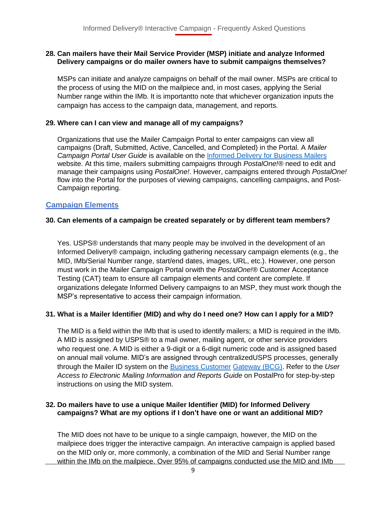#### <span id="page-8-0"></span>**28. Can mailers have their Mail Service Provider (MSP) initiate and analyze Informed Delivery campaigns or do mailer owners have to submit campaigns themselves?**

MSPs can initiate and analyze campaigns on behalf of the mail owner. MSPs are critical to the process of using the MID on the mailpiece and, in most cases, applying the Serial Number range within the IMb. It is importantto note that whichever organization inputs the campaign has access to the campaign data, management, and reports.

#### <span id="page-8-1"></span>**29. Where can I can view and manage all of my campaigns?**

Organizations that use the Mailer Campaign Portal to enter campaigns can view all campaigns (Draft, Submitted, Active, Cancelled, and Completed) in the Portal. A *Mailer Campaign Portal User Guide* is available on the [Informed Delivery for Business Mailers](http://www.usps.com/informeddeliverycampaigns) website. At this time, mailers submitting campaigns through *PostalOne!®* need to edit and manage their campaigns using *PostalOne!*. However, campaigns entered through *PostalOne!*  flow into the Portal for the purposes of viewing campaigns, cancelling campaigns, and Post-Campaign reporting.

#### <span id="page-8-2"></span>**Campaign Elements**

#### <span id="page-8-3"></span>**30. Can elements of a campaign be created separately or by different team members?**

Yes. USPS® understands that many people may be involved in the development of an Informed Delivery® campaign, including gathering necessary campaign elements (e.g., the MID, IMb/Serial Number range, start/end dates, images, URL, etc.). However, one person must work in the Mailer Campaign Portal orwith the *PostalOne!*® Customer Acceptance Testing (CAT) team to ensure all campaign elements and content are complete. If organizations delegate Informed Delivery campaigns to an MSP, they must work though the MSP's representative to access their campaign information.

#### <span id="page-8-4"></span>**31. What is a Mailer Identifier (MID) and why do I need one? How can I apply for a MID?**

The MID is a field within the IMb that is used to identify mailers; a MID is required in the IMb. A MID is assigned by USPS® to a mail owner, mailing agent, or other service providers who request one. A MID is either a 9-digit or a 6-digit numeric code and is assigned based on annual mail volume. MID's are assigned through centralizedUSPS processes, generally through the Mailer ID system on the [Business Customer](https://gateway.usps.com/eAdmin/view/signin) [Gateway \(BCG\).](https://gateway.usps.com/eAdmin/view/signin) Refer to the *User Access to Electronic Mailing Information and Reports Guide* on PostalPro for step-by-step instructions on using the MID system.

#### <span id="page-8-5"></span>**32. Do mailers have to use a unique Mailer Identifier (MID) for Informed Delivery campaigns? What are my options if I don't have one or want an additional MID?**

The MID does not have to be unique to a single campaign, however, the MID on the mailpiece does trigger the interactive campaign. An interactive campaign is applied based on the MID only or, more commonly, a combination of the MID and Serial Number range within the IMb on the mailpiece. Over 95% of campaigns conducted use the MID and IMb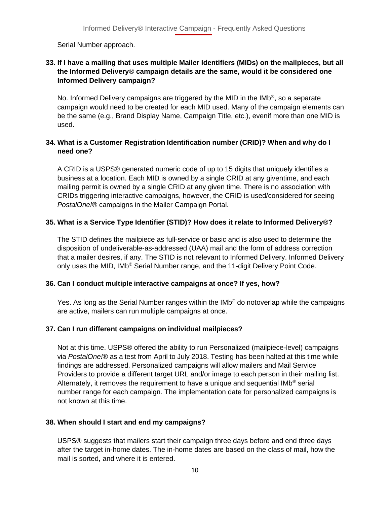Serial Number approach.

#### <span id="page-9-0"></span>**33. If I have a mailing that uses multiple Mailer Identifiers (MIDs) on the mailpieces, but all the Informed Delivery**® **campaign details are the same, would it be considered one Informed Delivery campaign?**

No. Informed Delivery campaigns are triggered by the MID in the IMb®, so a separate campaign would need to be created for each MID used. Many of the campaign elements can be the same (e.g., Brand Display Name, Campaign Title, etc.), evenif more than one MID is used.

# <span id="page-9-1"></span>**34. What is a Customer Registration Identification number (CRID)? When and why do I need one?**

A CRID is a USPS® generated numeric code of up to 15 digits that uniquely identifies a business at a location. Each MID is owned by a single CRID at any giventime, and each mailing permit is owned by a single CRID at any given time. There is no association with CRIDs triggering interactive campaigns, however, the CRID is used/considered for seeing *PostalOne!®* campaigns in the Mailer Campaign Portal.

# <span id="page-9-2"></span>**35. What is a Service Type Identifier (STID)? How does it relate to Informed Delivery®?**

The STID defines the mailpiece as full-service or basic and is also used to determine the disposition of undeliverable-as-addressed (UAA) mail and the form of address correction that a mailer desires, if any. The STID is not relevant to Informed Delivery. Informed Delivery only uses the MID, IMb® Serial Number range, and the 11-digit Delivery Point Code.

#### <span id="page-9-3"></span>**36. Can I conduct multiple interactive campaigns at once? If yes, how?**

Yes. As long as the Serial Number ranges within the IMb® do notoverlap while the campaigns are active, mailers can run multiple campaigns at once.

# <span id="page-9-4"></span>**37. Can I run different campaigns on individual mailpieces?**

Not at this time. USPS® offered the ability to run Personalized (mailpiece-level) campaigns via *PostalOne!*® as a test from April to July 2018. Testing has been halted at this time while findings are addressed. Personalized campaigns will allow mailers and Mail Service Providers to provide a different target URL and/or image to each person in their mailing list. Alternately, it removes the requirement to have a unique and sequential IMb<sup>®</sup> serial number range for each campaign. The implementation date for personalized campaigns is not known at this time.

# <span id="page-9-5"></span>**38. When should I start and end my campaigns?**

USPS® suggests that mailers start their campaign three days before and end three days after the target in-home dates. The in-home dates are based on the class of mail, how the mail is sorted, and where it is entered.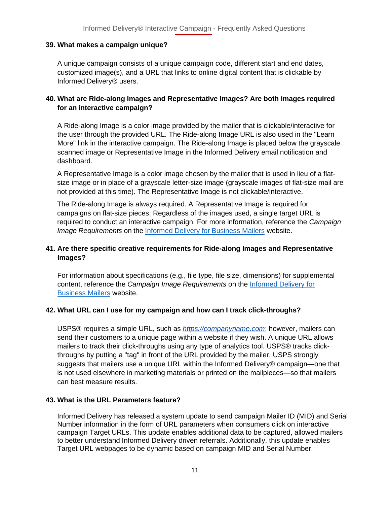# <span id="page-10-0"></span>**39. What makes a campaign unique?**

A unique campaign consists of a unique campaign code, different start and end dates, customized image(s), and a URL that links to online digital content that is clickable by Informed Delivery® users.

#### <span id="page-10-1"></span>**40. What are Ride-along Images and Representative Images? Are both images required for an interactive campaign?**

A Ride-along Image is a color image provided by the mailer that is clickable/interactive for the user through the provided URL. The Ride-along Image URL is also used in the "Learn More" link in the interactive campaign. The Ride-along Image is placed below the grayscale scanned image or Representative Image in the Informed Delivery email notification and dashboard.

A Representative Image is a color image chosen by the mailer that is used in lieu of a flatsize image or in place of a grayscale letter-size image (grayscale images of flat-size mail are not provided at this time). The Representative Image is not clickable/interactive.

The Ride-along Image is always required. A Representative Image is required for campaigns on flat-size pieces. Regardless of the images used, a single target URL is required to conduct an interactive campaign. For more information, reference the *Campaign Image Requirements* on the Informed Delivery for [Business](http://www.usps.com/informeddeliverycampaigns) Mailers website.

# <span id="page-10-2"></span>**41. Are there specific creative requirements for Ride-along Images and Representative Images?**

For information about specifications (e.g., file type, file size, dimensions) for supplemental content, reference the *Campaign Image Requirements* on the [Informed Delivery for](http://www.usps.com/informeddeliverycampaigns) [Business Mailers](http://www.usps.com/informeddeliverycampaigns) website.

# <span id="page-10-3"></span>**42. What URL can I use for my campaign and how can I track click-throughs?**

USPS® requires a simple URL, such as *https://companyname.com*; however, mailers can send their customers to a unique page within a website if they wish. A unique URL allows mailers to track their click-throughs using any type of analytics tool. USPS® tracks clickthroughs by putting a "tag" in front of the URL provided by the mailer. USPS strongly suggests that mailers use a unique URL within the Informed Delivery® campaign—one that is not used elsewhere in marketing materials or printed on the mailpieces—so that mailers can best measure results.

#### <span id="page-10-4"></span>**43. What is the URL Parameters feature?**

Informed Delivery has released a system update to send campaign Mailer ID (MID) and Serial Number information in the form of URL parameters when consumers click on interactive campaign Target URLs. This update enables additional data to be captured, allowed mailers to better understand Informed Delivery driven referrals. Additionally, this update enables Target URL webpages to be dynamic based on campaign MID and Serial Number.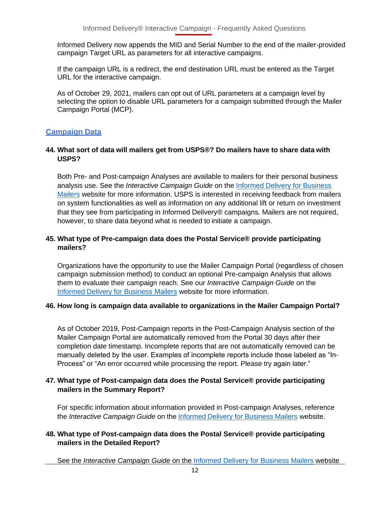Informed Delivery now appends the MID and Serial Number to the end of the mailer-provided campaign Target URL as parameters for all interactive campaigns.

If the campaign URL is a redirect, the end destination URL must be entered as the Target URL for the interactive campaign.

As of October 29, 2021, mailers can opt out of URL parameters at a campaign level by selecting the option to disable URL parameters for a campaign submitted through the Mailer Campaign Portal (MCP).

# <span id="page-11-0"></span>**Campaign Data**

#### <span id="page-11-1"></span>**44. What sort of data will mailers get from USPS®? Do mailers have to share data with USPS?**

Both Pre- and Post-campaign Analyses are available to mailers for their personal business analysis use. See the *Interactive Campaign Guide* on the [Informed Delivery for Business](http://www.usps.com/informeddeliverycampaigns) [Mailers](http://www.usps.com/informeddeliverycampaigns) website for more information. USPS is interested in receiving feedback from mailers on system functionalities as well as information on any additional lift or return on investment that they see from participating in Informed Delivery® campaigns. Mailers are not required, however, to share data beyond what is needed to initiate a campaign.

#### <span id="page-11-2"></span>**45. What type of Pre-campaign data does the Postal Service® provide participating mailers?**

Organizations have the opportunity to use the Mailer Campaign Portal (regardless of chosen campaign submission method) to conduct an optional Pre-campaign Analysis that allows them to evaluate their campaign reach. See our *Interactive Campaign Guide* on the Informed Delivery for [Business Mailers](http://www.usps.com/informeddeliverycampaigns) website for more information.

#### <span id="page-11-3"></span>**46. How long is campaign data available to organizations in the Mailer Campaign Portal?**

As of October 2019, Post-Campaign reports in the Post-Campaign Analysis section of the Mailer Campaign Portal are automatically removed from the Portal 30 days after their completion date timestamp. Incomplete reports that are not automatically removed can be manually deleted by the user. Examples of incomplete reports include those labeled as "In-Process" or "An error occurred while processing the report. Please try again later."

#### <span id="page-11-4"></span>**47. What type of Post-campaign data does the Postal Service® provide participating mailers in the Summary Report?**

For specific information about information provided in Post-campaign Analyses, reference the *Interactive Campaign Guide* on the Informed Delivery for [Business](http://www.usps.com/informeddeliverycampaigns) Mailers website.

#### <span id="page-11-5"></span>**48. What type of Post-campaign data does the Postal Service® provide participating mailers in the Detailed Report?**

See the *Interactive Campaign Guide* on the [Informed Delivery for Business Mailers](http://www.usps.com/informeddeliverycampaigns) website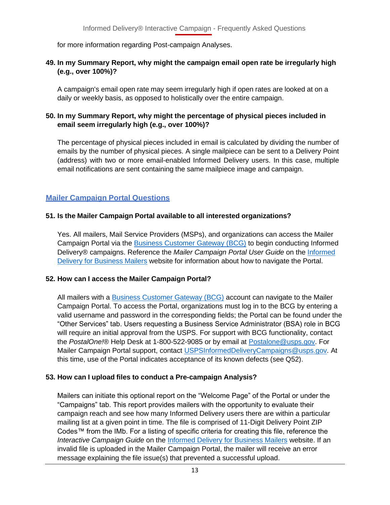for more information regarding Post-campaign Analyses.

#### <span id="page-12-0"></span>**49. In my Summary Report, why might the campaign email open rate be irregularly high (e.g., over 100%)?**

A campaign's email open rate may seem irregularly high if open rates are looked at on a daily or weekly basis, as opposed to holistically over the entire campaign.

#### <span id="page-12-1"></span>**50. In my Summary Report, why might the percentage of physical pieces included in email seem irregularly high (e.g., over 100%)?**

The percentage of physical pieces included in email is calculated by dividing the number of emails by the number of physical pieces. A single mailpiece can be sent to a Delivery Point (address) with two or more email-enabled Informed Delivery users. In this case, multiple email notifications are sent containing the same mailpiece image and campaign.

# <span id="page-12-2"></span>**Mailer Campaign Portal Questions**

#### <span id="page-12-3"></span>**51. Is the Mailer Campaign Portal available to all interested organizations?**

Yes. All mailers, Mail Service Providers (MSPs), and organizations can access the Mailer Campaign Portal via the [Business Customer Gateway \(BCG\)](https://gateway.usps.com/eAdmin/view/signin) to begin conducting Informed Delivery® campaigns. Reference the *Mailer Campaign Portal User Guide* on the [Informed](http://www.usps.com/informeddeliverycampaigns) Delivery for [Business](http://www.usps.com/informeddeliverycampaigns) Mailers website for information about how to navigate the Portal.

#### <span id="page-12-4"></span>**52. How can I access the Mailer Campaign Portal?**

All mailers with a [Business Customer Gateway \(BCG\)](https://gateway.usps.com/eAdmin/view/signin) account can navigate to the Mailer Campaign Portal. To access the Portal, organizations must log in to the BCG by entering a valid username and password in the corresponding fields; the Portal can be found under the "Other Services" tab. Users requesting a Business Service Administrator (BSA) role in BCG will require an initial approval from the USPS. For support with BCG functionality, contact the *PostalOne!*® Help Desk at 1-800-522-9085 or by email at [Postalone@usps.gov.](mailto:Postalone@usps.gov) For Mailer Campaign Portal support, contact [USPSInformedDeliveryCampaigns@usps.gov.](mailto:USPSInformedDeliveryCampaigns@usps.gov) At this time, use of the Portal indicates acceptance of its known defects (see Q52).

#### <span id="page-12-5"></span>**53. How can I upload files to conduct a Pre-campaign Analysis?**

Mailers can initiate this optional report on the "Welcome Page" of the Portal or under the "Campaigns" tab. This report provides mailers with the opportunity to evaluate their campaign reach and see how many Informed Delivery users there are within a particular mailing list at a given point in time. The file is comprised of 11-Digit Delivery Point ZIP Codes™ from the IMb. For a listing of specific criteria for creating this file, reference the *Interactive Campaign Guide* on the [Informed Delivery for Business Mailers](http://www.usps.com/informeddeliverycampaigns) website. If an invalid file is uploaded in the Mailer Campaign Portal, the mailer will receive an error message explaining the file issue(s) that prevented a successful upload.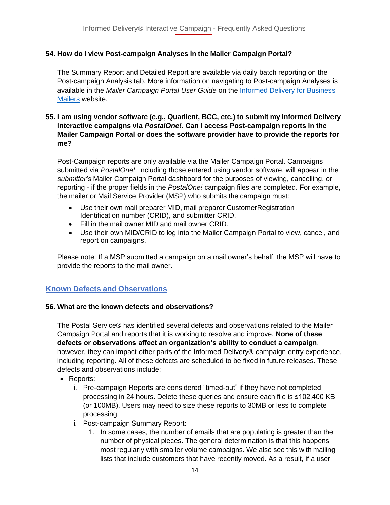# <span id="page-13-0"></span>**54. How do I view Post-campaign Analyses in the Mailer Campaign Portal?**

The Summary Report and Detailed Report are available via daily batch reporting on the Post-campaign Analysis tab. More information on navigating to Post-campaign Analyses is available in the *Mailer Campaign Portal User Guide* on the [Informed Delivery for Business](http://www.usps.com/informeddeliverycampaigns) [Mailers](http://www.usps.com/informeddeliverycampaigns) website.

#### <span id="page-13-1"></span>**55. I am using vendor software (e.g., Quadient, BCC, etc.) to submit my Informed Delivery interactive campaigns via** *PostalOne!***. Can I access Post-campaign reports in the Mailer Campaign Portal or does the software provider have to provide the reports for me?**

Post-Campaign reports are only available via the Mailer Campaign Portal. Campaigns submitted via *PostalOne!*, including those entered using vendor software, will appear in the *submitter's* Mailer Campaign Portal dashboard for the purposes of viewing, cancelling, or reporting - if the proper fields in the *PostalOne!* campaign files are completed. For example, the mailer or Mail Service Provider (MSP) who submits the campaign must:

- Use their own mail preparer MID, mail preparer CustomerRegistration Identification number (CRID), and submitter CRID.
- Fill in the mail owner MID and mail owner CRID.
- Use their own MID/CRID to log into the Mailer Campaign Portal to view, cancel, and report on campaigns.

Please note: If a MSP submitted a campaign on a mail owner's behalf, the MSP will have to provide the reports to the mail owner.

# <span id="page-13-2"></span>**Known Defects and Observations**

#### <span id="page-13-3"></span>**56. What are the known defects and observations?**

The Postal Service® has identified several defects and observations related to the Mailer Campaign Portal and reports that it is working to resolve and improve. **None of these defects or observations affect an organization's ability to conduct a campaign**, however, they can impact other parts of the Informed Delivery® campaign entry experience, including reporting. All of these defects are scheduled to be fixed in future releases. These defects and observations include:

- Reports:
	- i. Pre-campaign Reports are considered "timed-out" if they have not completed processing in 24 hours. Delete these queries and ensure each file is ≤102,400 KB (or 100MB). Users may need to size these reports to 30MB or less to complete processing.
	- ii. Post-campaign Summary Report:
		- 1. In some cases, the number of emails that are populating is greater than the number of physical pieces. The general determination is that this happens most regularly with smaller volume campaigns. We also see this with mailing lists that include customers that have recently moved. As a result, if a user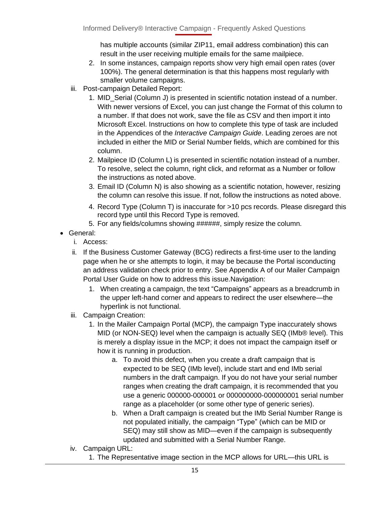has multiple accounts (similar ZIP11, email address combination) this can result in the user receiving multiple emails for the same mailpiece.

- 2. In some instances, campaign reports show very high email open rates (over 100%). The general determination is that this happens most regularly with smaller volume campaigns.
- iii. Post-campaign Detailed Report:
	- 1. MID\_Serial (Column J) is presented in scientific notation instead of a number. With newer versions of Excel, you can just change the Format of this column to a number. If that does not work, save the file as CSV and then import it into Microsoft Excel. Instructions on how to complete this type of task are included in the Appendices of the *Interactive Campaign Guide*. Leading zeroes are not included in either the MID or Serial Number fields, which are combined for this column.
	- 2. Mailpiece ID (Column L) is presented in scientific notation instead of a number. To resolve, select the column, right click, and reformat as a Number or follow the instructions as noted above.
	- 3. Email ID (Column N) is also showing as a scientific notation, however, resizing the column can resolve this issue. If not, follow the instructions as noted above.
	- 4. Record Type (Column T) is inaccurate for >10 pcs records. Please disregard this record type until this Record Type is removed.
	- 5. For any fields/columns showing ######, simply resize the column.
- General:
	- i. Access:
	- ii. If the [Business Customer Gateway \(BCG\) r](https://gateway.usps.com/eAdmin/view/signin)edirects a first-time user to the landing page when he or she attempts to login, it may be because the Portal isconducting an address validation check prior to entry. See Appendix A of our Mailer Campaign Portal User Guide on how to address this issue.Navigation:
		- 1. When creating a campaign, the text "Campaigns" appears as a breadcrumb in the upper left-hand corner and appears to redirect the user elsewhere—the hyperlink is not functional.
	- iii. Campaign Creation:
		- 1. In the Mailer Campaign Portal (MCP), the campaign Type inaccurately shows MID (or NON-SEQ) level when the campaign is actually SEQ (IMb® level). This is merely a display issue in the MCP; it does not impact the campaign itself or how it is running in production.
			- a. To avoid this defect, when you create a draft campaign that is expected to be SEQ (IMb level), include start and end IMb serial numbers in the draft campaign. If you do not have your serial number ranges when creating the draft campaign, it is recommended that you use a generic 000000-000001 or 000000000-000000001 serial number range as a placeholder (or some other type of generic series).
			- b. When a Draft campaign is created but the IMb Serial Number Range is not populated initially, the campaign "Type" (which can be MID or SEQ) may still show as MID—even if the campaign is subsequently updated and submitted with a Serial Number Range.
	- iv. Campaign URL:
		- 1. The Representative image section in the MCP allows for URL—this URL is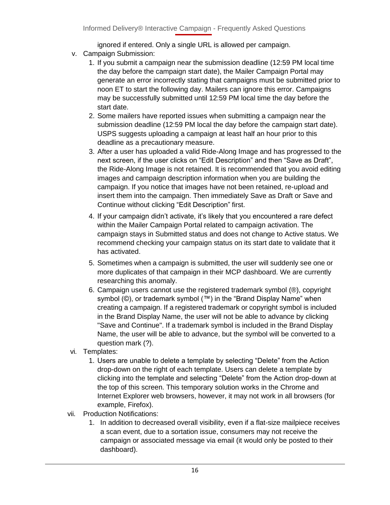ignored if entered. Only a single URL is allowed per campaign.

- v. Campaign Submission:
	- 1. If you submit a campaign near the submission deadline (12:59 PM local time the day before the campaign start date), the Mailer Campaign Portal may generate an error incorrectly stating that campaigns must be submitted prior to noon ET to start the following day. Mailers can ignore this error. Campaigns may be successfully submitted until 12:59 PM local time the day before the start date.
	- 2. Some mailers have reported issues when submitting a campaign near the submission deadline (12:59 PM local the day before the campaign start date). USPS suggests uploading a campaign at least half an hour prior to this deadline as a precautionary measure.
	- 3. After a user has uploaded a valid Ride-Along Image and has progressed to the next screen, if the user clicks on "Edit Description" and then "Save as Draft", the Ride-Along Image is not retained. It is recommended that you avoid editing images and campaign description information when you are building the campaign. If you notice that images have not been retained, re-upload and insert them into the campaign. Then immediately Save as Draft or Save and Continue without clicking "Edit Description" first.
	- 4. If your campaign didn't activate, it's likely that you encountered a rare defect within the Mailer Campaign Portal related to campaign activation. The campaign stays in Submitted status and does not change to Active status. We recommend checking your campaign status on its start date to validate that it has activated.
	- 5. Sometimes when a campaign is submitted, the user will suddenly see one or more duplicates of that campaign in their MCP dashboard. We are currently researching this anomaly.
	- 6. Campaign users cannot use the registered trademark symbol (®), copyright symbol (©), or trademark symbol (™) in the "Brand Display Name" when creating a campaign. If a registered trademark or copyright symbol is included in the Brand Display Name, the user will not be able to advance by clicking "Save and Continue". If a trademark symbol is included in the Brand Display Name, the user will be able to advance, but the symbol will be converted to a question mark (?).
- vi. Templates:
	- 1. Users are unable to delete a template by selecting "Delete" from the Action drop-down on the right of each template. Users can delete a template by clicking into the template and selecting "Delete" from the Action drop-down at the top of this screen. This temporary solution works in the Chrome and Internet Explorer web browsers, however, it may not work in all browsers (for example, Firefox).
- vii. Production Notifications:
	- 1. In addition to decreased overall visibility, even if a flat-size mailpiece receives a scan event, due to a sortation issue, consumers may not receive the campaign or associated message via email (it would only be posted to their dashboard).